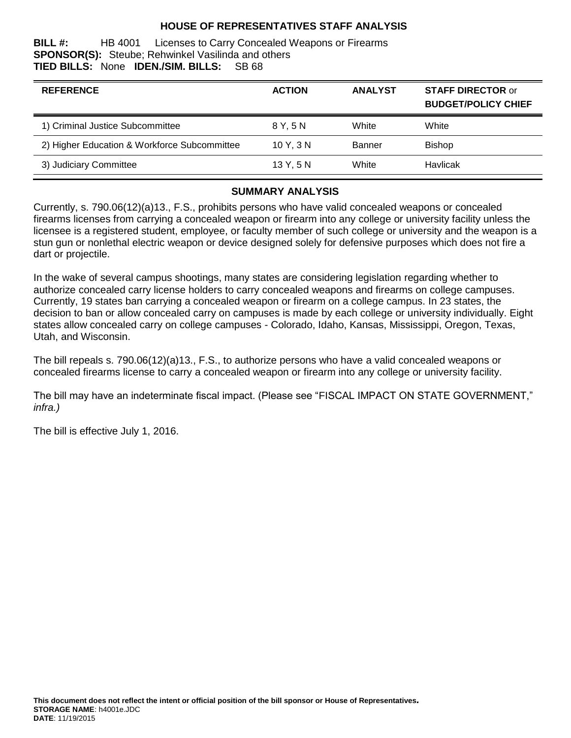### **HOUSE OF REPRESENTATIVES STAFF ANALYSIS**

**BILL #:** HB 4001 Licenses to Carry Concealed Weapons or Firearms **SPONSOR(S):** Steube; Rehwinkel Vasilinda and others **TIED BILLS:** None **IDEN./SIM. BILLS:** SB 68 **TIED BILLS: None <b>IDEN./SIM. BILLS:** 

| <b>REFERENCE</b>                             | <b>ACTION</b> | <b>ANALYST</b> | <b>STAFF DIRECTOR or</b><br><b>BUDGET/POLICY CHIEF</b> |
|----------------------------------------------|---------------|----------------|--------------------------------------------------------|
| 1) Criminal Justice Subcommittee             | 8 Y.5 N       | White          | White                                                  |
| 2) Higher Education & Workforce Subcommittee | 10Y.3N        | <b>Banner</b>  | <b>Bishop</b>                                          |
| 3) Judiciary Committee                       | 13 Y, 5 N     | White          | Havlicak                                               |

#### **SUMMARY ANALYSIS**

Currently, s. 790.06(12)(a)13., F.S., prohibits persons who have valid concealed weapons or concealed firearms licenses from carrying a concealed weapon or firearm into any college or university facility unless the licensee is a registered student, employee, or faculty member of such college or university and the weapon is a stun gun or nonlethal electric weapon or device designed solely for defensive purposes which does not fire a dart or projectile.

In the wake of several campus shootings, many states are considering legislation regarding whether to authorize concealed carry license holders to carry concealed weapons and firearms on college campuses. Currently, 19 states ban carrying a concealed weapon or firearm on a college campus. In 23 states, the decision to ban or allow concealed carry on campuses is made by each college or university individually. Eight states allow concealed carry on college campuses - Colorado, Idaho, Kansas, Mississippi, Oregon, Texas, Utah, and Wisconsin.

The bill repeals s. 790.06(12)(a)13., F.S., to authorize persons who have a valid concealed weapons or concealed firearms license to carry a concealed weapon or firearm into any college or university facility.

The bill may have an indeterminate fiscal impact. (Please see "FISCAL IMPACT ON STATE GOVERNMENT," *infra.)*

The bill is effective July 1, 2016.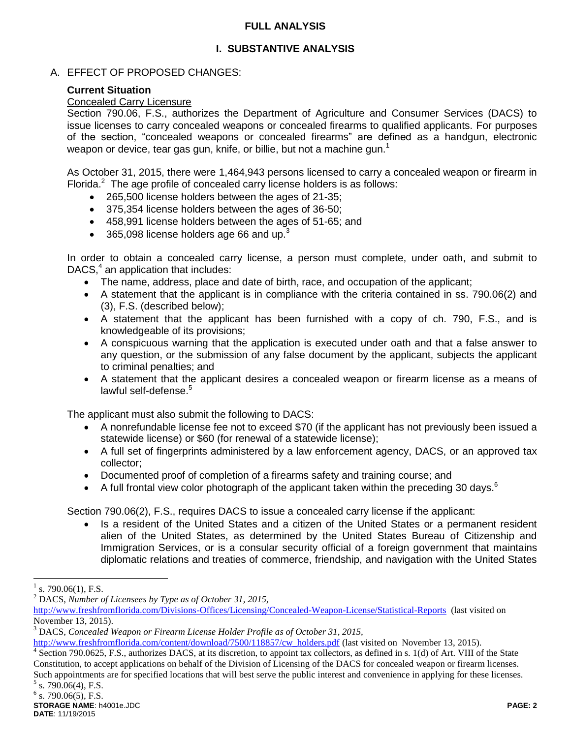### **FULL ANALYSIS**

## **I. SUBSTANTIVE ANALYSIS**

## A. EFFECT OF PROPOSED CHANGES:

## **Current Situation**

### Concealed Carry Licensure

Section 790.06, F.S., authorizes the Department of Agriculture and Consumer Services (DACS) to issue licenses to carry concealed weapons or concealed firearms to qualified applicants. For purposes of the section, "concealed weapons or concealed firearms" are defined as a handgun, electronic weapon or device, tear gas gun, knife, or billie, but not a machine gun.<sup>1</sup>

As October 31, 2015, there were 1,464,943 persons licensed to carry a concealed weapon or firearm in Florida. $2$  The age profile of concealed carry license holders is as follows:

- 265,500 license holders between the ages of 21-35;
- 375,354 license holders between the ages of 36-50;
- 458,991 license holders between the ages of 51-65; and
- 365,098 license holders age 66 and up.<sup>3</sup>

In order to obtain a concealed carry license, a person must complete, under oath, and submit to DACS, $4$  an application that includes:

- The name, address, place and date of birth, race, and occupation of the applicant;
- A statement that the applicant is in compliance with the criteria contained in ss. 790.06(2) and (3), F.S. (described below);
- A statement that the applicant has been furnished with a copy of ch. 790, F.S., and is knowledgeable of its provisions;
- A conspicuous warning that the application is executed under oath and that a false answer to any question, or the submission of any false document by the applicant, subjects the applicant to criminal penalties; and
- A statement that the applicant desires a concealed weapon or firearm license as a means of lawful self-defense.<sup>5</sup>

The applicant must also submit the following to DACS:

- A nonrefundable license fee not to exceed \$70 (if the applicant has not previously been issued a statewide license) or \$60 (for renewal of a statewide license);
- A full set of fingerprints administered by a law enforcement agency, DACS, or an approved tax collector;
- Documented proof of completion of a firearms safety and training course; and
- A full frontal view color photograph of the applicant taken within the preceding 30 days.<sup>6</sup>

Section 790.06(2), F.S., requires DACS to issue a concealed carry license if the applicant:

• Is a resident of the United States and a citizen of the United States or a permanent resident alien of the United States, as determined by the United States Bureau of Citizenship and Immigration Services, or is a consular security official of a foreign government that maintains diplomatic relations and treaties of commerce, friendship, and navigation with the United States

 $\overline{a}$ 

<sup>1</sup> s. 790.06(1), F.S.

<sup>2</sup> DACS, *Number of Licensees by Type as of October 31, 2015,*

<http://www.freshfromflorida.com/Divisions-Offices/Licensing/Concealed-Weapon-License/Statistical-Reports>(last visited on November 13, 2015).

<sup>3</sup> DACS, *Concealed Weapon or Firearm License Holder Profile as of October 31, 2015,*

[http://www.freshfromflorida.com/content/download/7500/118857/cw\\_holders.pdf](http://www.freshfromflorida.com/content/download/7500/118857/cw_holders.pdf) (last visited on November 13, 2015).

<sup>&</sup>lt;sup>4</sup> Section 790.0625, F.S., authorizes DACS, at its discretion, to appoint tax collectors, as defined in s. 1(d) of Art. VIII of the State Constitution, to accept applications on behalf of the Division of Licensing of the DACS for concealed weapon or firearm licenses. Such appointments are for specified locations that will best serve the public interest and convenience in applying for these licenses.

 $5$  s. 790.06(4), F.S.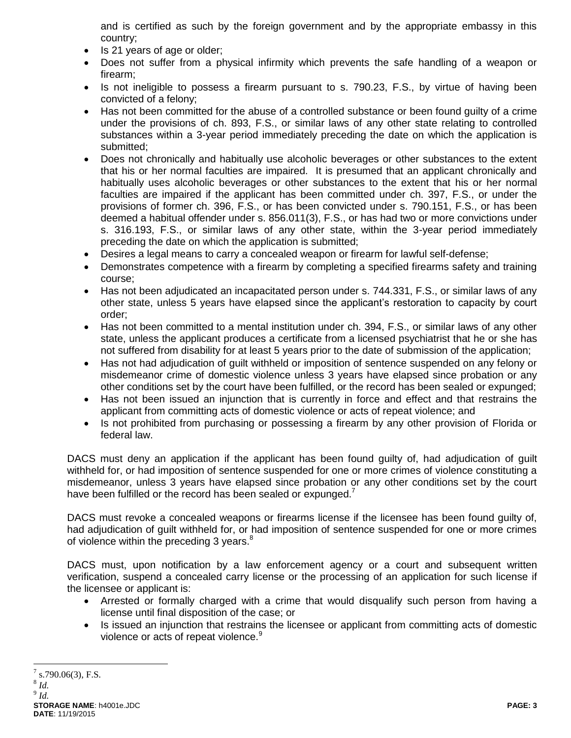and is certified as such by the foreign government and by the appropriate embassy in this country;

- Is 21 years of age or older;
- Does not suffer from a physical infirmity which prevents the safe handling of a weapon or firearm;
- Is not ineligible to possess a firearm pursuant to s. 790.23, F.S., by virtue of having been convicted of a felony;
- Has not been committed for the abuse of a controlled substance or been found guilty of a crime under the provisions of ch. 893, F.S., or similar laws of any other state relating to controlled substances within a 3-year period immediately preceding the date on which the application is submitted;
- Does not chronically and habitually use alcoholic beverages or other substances to the extent that his or her normal faculties are impaired. It is presumed that an applicant chronically and habitually uses alcoholic beverages or other substances to the extent that his or her normal faculties are impaired if the applicant has been committed under ch. 397, F.S., or under the provisions of former ch. 396, F.S., or has been convicted under s. 790.151, F.S., or has been deemed a habitual offender under s. 856.011(3), F.S., or has had two or more convictions under s. 316.193, F.S., or similar laws of any other state, within the 3-year period immediately preceding the date on which the application is submitted;
- Desires a legal means to carry a concealed weapon or firearm for lawful self-defense;
- Demonstrates competence with a firearm by completing a specified firearms safety and training course;
- Has not been adjudicated an incapacitated person under s. 744.331, F.S., or similar laws of any other state, unless 5 years have elapsed since the applicant's restoration to capacity by court order;
- Has not been committed to a mental institution under ch. 394, F.S., or similar laws of any other state, unless the applicant produces a certificate from a licensed psychiatrist that he or she has not suffered from disability for at least 5 years prior to the date of submission of the application;
- Has not had adjudication of guilt withheld or imposition of sentence suspended on any felony or misdemeanor crime of domestic violence unless 3 years have elapsed since probation or any other conditions set by the court have been fulfilled, or the record has been sealed or expunged;
- Has not been issued an injunction that is currently in force and effect and that restrains the applicant from committing acts of domestic violence or acts of repeat violence; and
- Is not prohibited from purchasing or possessing a firearm by any other provision of Florida or federal law.

DACS must deny an application if the applicant has been found guilty of, had adjudication of guilt withheld for, or had imposition of sentence suspended for one or more crimes of violence constituting a misdemeanor, unless 3 years have elapsed since probation or any other conditions set by the court have been fulfilled or the record has been sealed or expunged.<sup>7</sup>

DACS must revoke a concealed weapons or firearms license if the licensee has been found guilty of, had adjudication of guilt withheld for, or had imposition of sentence suspended for one or more crimes of violence within the preceding 3 years.<sup>8</sup>

DACS must, upon notification by a law enforcement agency or a court and subsequent written verification, suspend a concealed carry license or the processing of an application for such license if the licensee or applicant is:

- Arrested or formally charged with a crime that would disqualify such person from having a license until final disposition of the case; or
- Is issued an injunction that restrains the licensee or applicant from committing acts of domestic violence or acts of repeat violence.<sup>9</sup>

 $\overline{a}$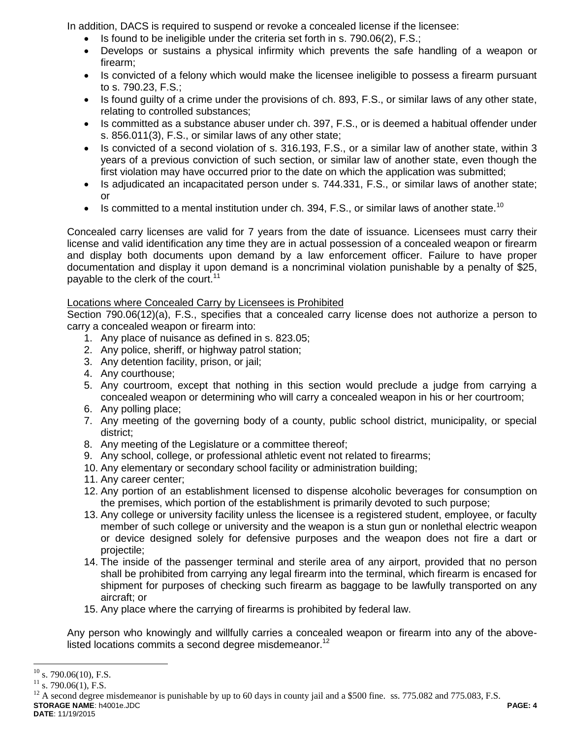In addition, DACS is required to suspend or revoke a concealed license if the licensee:

- Is found to be ineligible under the criteria set forth in s. 790.06(2), F.S.;
- Develops or sustains a physical infirmity which prevents the safe handling of a weapon or firearm;
- Is convicted of a felony which would make the licensee ineligible to possess a firearm pursuant to s. 790.23, F.S.;
- Is found guilty of a crime under the provisions of ch. 893, F.S., or similar laws of any other state, relating to controlled substances;
- Is committed as a substance abuser under ch. 397, F.S., or is deemed a habitual offender under s. 856.011(3), F.S., or similar laws of any other state;
- Is convicted of a second violation of s. 316.193, F.S., or a similar law of another state, within 3 years of a previous conviction of such section, or similar law of another state, even though the first violation may have occurred prior to the date on which the application was submitted;
- Is adjudicated an incapacitated person under s. 744.331, F.S., or similar laws of another state; or
- Is committed to a mental institution under ch. 394, F.S., or similar laws of another state.<sup>10</sup>

Concealed carry licenses are valid for 7 years from the date of issuance. Licensees must carry their license and valid identification any time they are in actual possession of a concealed weapon or firearm and display both documents upon demand by a law enforcement officer. Failure to have proper documentation and display it upon demand is a noncriminal violation punishable by a penalty of \$25, payable to the clerk of the court.<sup>11</sup>

## Locations where Concealed Carry by Licensees is Prohibited

Section 790.06(12)(a), F.S., specifies that a concealed carry license does not authorize a person to carry a concealed weapon or firearm into:

- 1. Any place of nuisance as defined in s. 823.05;
- 2. Any police, sheriff, or highway patrol station;
- 3. Any detention facility, prison, or jail;
- 4. Any courthouse;
- 5. Any courtroom, except that nothing in this section would preclude a judge from carrying a concealed weapon or determining who will carry a concealed weapon in his or her courtroom;
- 6. Any polling place;
- 7. Any meeting of the governing body of a county, public school district, municipality, or special district;
- 8. Any meeting of the Legislature or a committee thereof;
- 9. Any school, college, or professional athletic event not related to firearms;
- 10. Any elementary or secondary school facility or administration building;
- 11. Any career center;
- 12. Any portion of an establishment licensed to dispense alcoholic beverages for consumption on the premises, which portion of the establishment is primarily devoted to such purpose;
- 13. Any college or university facility unless the licensee is a registered student, employee, or faculty member of such college or university and the weapon is a stun gun or nonlethal electric weapon or device designed solely for defensive purposes and the weapon does not fire a dart or projectile;
- 14. The inside of the passenger terminal and sterile area of any airport, provided that no person shall be prohibited from carrying any legal firearm into the terminal, which firearm is encased for shipment for purposes of checking such firearm as baggage to be lawfully transported on any aircraft; or
- 15. Any place where the carrying of firearms is prohibited by federal law.

Any person who knowingly and willfully carries a concealed weapon or firearm into any of the abovelisted locations commits a second degree misdemeanor.<sup>12</sup>

 $10$ s. 790.06(10), F.S.

 $^{11}_{12}$  s. 790.06(1), F.S.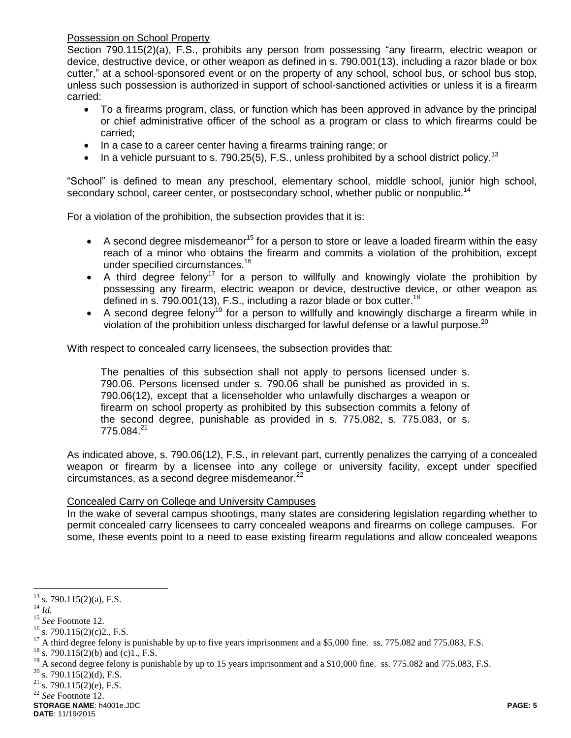Possession on School Property

Section 790.115(2)(a), F.S., prohibits any person from possessing "any firearm, electric weapon or device, destructive device, or other weapon as defined in s. 790.001(13), including a razor blade or box cutter," at a school-sponsored event or on the property of any school, school bus, or school bus stop, unless such possession is authorized in support of school-sanctioned activities or unless it is a firearm carried:

- To a firearms program, class, or function which has been approved in advance by the principal or chief administrative officer of the school as a program or class to which firearms could be carried;
- In a case to a career center having a firearms training range; or
- In a vehicle pursuant to s. 790.25(5), F.S., unless prohibited by a school district policy.<sup>13</sup>

"School" is defined to mean any preschool, elementary school, middle school, junior high school, secondary school, career center, or postsecondary school, whether public or nonpublic.<sup>14</sup>

For a violation of the prohibition, the subsection provides that it is:

- A second degree misdemeanor<sup>15</sup> for a person to store or leave a loaded firearm within the easy reach of a minor who obtains the firearm and commits a violation of the prohibition, except under specified circumstances.<sup>16</sup>
- A third degree felony<sup>17</sup> for a person to willfully and knowingly violate the prohibition by possessing any firearm, electric weapon or device, destructive device, or other weapon as defined in s. 790.001(13), F.S., including a razor blade or box cutter.<sup>18</sup>
- A second degree felony<sup>19</sup> for a person to willfully and knowingly discharge a firearm while in violation of the prohibition unless discharged for lawful defense or a lawful purpose.<sup>20</sup>

With respect to concealed carry licensees, the subsection provides that:

The penalties of this subsection shall not apply to persons licensed under s. 790.06. Persons licensed under s. 790.06 shall be punished as provided in s. 790.06(12), except that a licenseholder who unlawfully discharges a weapon or firearm on school property as prohibited by this subsection commits a felony of the second degree, punishable as provided in s. 775.082, s. 775.083, or s.  $775.084.<sup>21</sup>$ 

As indicated above, s. 790.06(12), F.S., in relevant part, currently penalizes the carrying of a concealed weapon or firearm by a licensee into any college or university facility, except under specified circumstances, as a second degree misdemeanor. $^{22}$ 

### Concealed Carry on College and University Campuses

In the wake of several campus shootings, many states are considering legislation regarding whether to permit concealed carry licensees to carry concealed weapons and firearms on college campuses. For some, these events point to a need to ease existing firearm regulations and allow concealed weapons

<sup>18</sup> s. 790.115(2)(b) and (c)1., F.S.

**STORAGE NAME**: h4001e.JDC **PAGE: 5 DATE**: 11/19/2015

 $\overline{a}$  $13$  s. 790.115(2)(a), F.S.

<sup>14</sup> *Id.*

<sup>15</sup> *See* Footnote 12.

 $16$  s. 790.115(2)(c)2., F.S.

<sup>&</sup>lt;sup>17</sup> A third degree felony is punishable by up to five years imprisonment and a \$5,000 fine. ss. 775.082 and 775.083, F.S.

<sup>&</sup>lt;sup>19</sup> A second degree felony is punishable by up to 15 years imprisonment and a \$10,000 fine. ss. 775.082 and 775.083, F.S.  $^{20}$   $\leq$  700.115(2)(d) E S

s.  $790.115(2)(d)$ , F.S.

 $21$  s. 790.115(2)(e), F.S.

<sup>22</sup> *See* Footnote 12.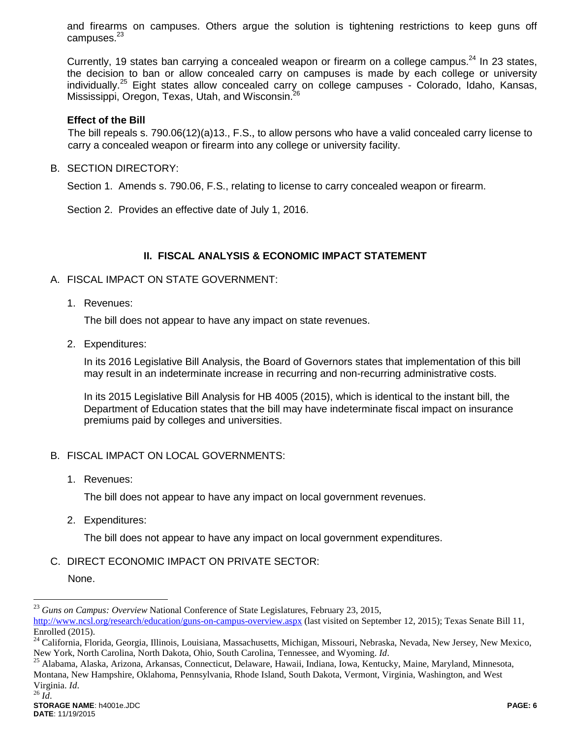and firearms on campuses. Others argue the solution is tightening restrictions to keep guns off campuses. $^{23}$ 

Currently, 19 states ban carrying a concealed weapon or firearm on a college campus.<sup>24</sup> In 23 states, the decision to ban or allow concealed carry on campuses is made by each college or university individually.<sup>25</sup> Eight states allow concealed carry on college campuses - Colorado, Idaho, Kansas, Mississippi, Oregon, Texas, Utah, and Wisconsin.<sup>26</sup>

### **Effect of the Bill**

The bill repeals s. 790.06(12)(a)13., F.S., to allow persons who have a valid concealed carry license to carry a concealed weapon or firearm into any college or university facility.

B. SECTION DIRECTORY:

Section 1. Amends s. 790.06, F.S., relating to license to carry concealed weapon or firearm.

Section 2. Provides an effective date of July 1, 2016.

### **II. FISCAL ANALYSIS & ECONOMIC IMPACT STATEMENT**

### A. FISCAL IMPACT ON STATE GOVERNMENT:

1. Revenues:

The bill does not appear to have any impact on state revenues.

2. Expenditures:

In its 2016 Legislative Bill Analysis, the Board of Governors states that implementation of this bill may result in an indeterminate increase in recurring and non-recurring administrative costs.

In its 2015 Legislative Bill Analysis for HB 4005 (2015), which is identical to the instant bill, the Department of Education states that the bill may have indeterminate fiscal impact on insurance premiums paid by colleges and universities.

### B. FISCAL IMPACT ON LOCAL GOVERNMENTS:

1. Revenues:

The bill does not appear to have any impact on local government revenues.

2. Expenditures:

The bill does not appear to have any impact on local government expenditures.

C. DIRECT ECONOMIC IMPACT ON PRIVATE SECTOR:

None.

 $\overline{a}$ 

<sup>25</sup> Alabama, Alaska, Arizona, Arkansas, Connecticut, Delaware, Hawaii, Indiana, Iowa, Kentucky, Maine, Maryland, Minnesota, Montana, New Hampshire, Oklahoma, Pennsylvania, Rhode Island, South Dakota, Vermont, Virginia, Washington, and West Virginia. *Id*. <sup>26</sup> *Id*.

<sup>23</sup> *Guns on Campus: Overview* National Conference of State Legislatures, February 23, 2015,

<http://www.ncsl.org/research/education/guns-on-campus-overview.aspx> (last visited on September 12, 2015); Texas Senate Bill 11, Enrolled (2015).

<sup>&</sup>lt;sup>24</sup> California, Florida, Georgia, Illinois, Louisiana, Massachusetts, Michigan, Missouri, Nebraska, Nevada, New Jersey, New Mexico, New York, North Carolina, North Dakota, Ohio, South Carolina, Tennessee, and Wyoming. *Id*.